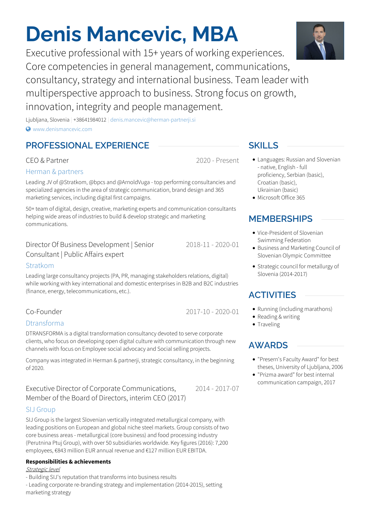# **Denis Mancevic, MBA**

Executive professional with 15+ years of working experiences. Core competencies in general management, communications, consultancy, strategy and international business. Team leader with multiperspective approach to business. Strong focus on growth, innovation, integrity and people management.

Ljubljana, Slovenia | +38641984012 | [denis.mancevic@herman-partnerji.si](mailto:denis.mancevic@herman-partnerji.si)  $\bullet$  [www.denismancevic.com](http://www.denismancevic.com)

# **PROFESSIONAL EXPERIENCE** SKILLS

# CEO & Partner

## Herman & [partners](http://www.herman-partnerji.si)

Leading JV of @Stratkom, @bpcs and @ArnoldVuga - top performing consultancies and specialized agencies in the area of strategic communication, brand design and 365 marketing services, including digital first campaigns.

50+ team of digital, design, creative, marketing experts and communication consultants helping wide areas of industries to build & develop strategic and marketing communications.

### Director Of Business Development | Senior Consultant | Public Affairs expert

### [Stratkom](http://www.energen.si)

Leading large consultancy projects (PA, PR, managing stakeholders relations, digital) while working with key international and domestic enterprises in B2B and B2C industries (finance, energy, telecommunications, etc.).

# Co-Founder

### [Dtransforma](http://www.dtransforma.net)

DTRANSFORMA is a digital transformation consultancy devoted to serve corporate clients, who focus on developing open digital culture with communication through new channels with focus on Employee social advocacy and Social selling projects.

Company was integrated in Herman & partnerji, strategic consultancy, in the beginning of 2020.

### 2014 - 2017-07 Executive Director of Corporate Communications, Member of the Board of Directors, interim CEO (2017)

### SIJ [Group](http://www.sij.si)

SIJ Group is the largest Slovenian vertically integrated metallurgical company, with leading positions on European and global niche steel markets. Group consists of two core business areas -metallurgical (core business) and food processing industry (Perutnina Ptuj Group), with over 50 subsidiaries worldwide. Key figures (2016): 7,200 employees, €843 million EUR annual revenue and €127 million EUR EBITDA.

### **Responsibilities & achievements**

### Strategic level

- Building SIJ's reputation that transforms into business results

- Leading corporate re-branding strategy and implementation (2014-2015), setting marketing strategy

- Languages: Russian and Slovenian - native, English - full proficiency, Serbian (basic), Croatian (basic), Ukrainian (basic)
- Microsoft Office 365

# **MEMBERSHIPS**

- Vice-President of Slovenian Swimming Federation
- Business and Marketing Council of Slovenian Olympic Committee
- Strategic council for metallurgy of Slovenia (2014-2017)

# **ACTIVITIES**

- Running (including marathons)
- Reading & writing
- $\bullet$  Traveling

# **AWARDS**

- "Presern's Faculty Award" for best theses, University of Ljubljana, 2006
- "Prizma award" for best internal communication campaign, 2017



2020 - Present

2017-10 - 2020-01

2018-11 - 2020-01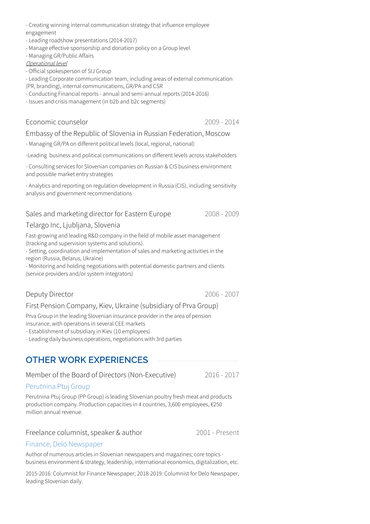- Creating winning internal communication strategy that influence employee engagement

- Leading roadshow presentations (2014-2017)

- Manage effective sponsorship and donation policy on a Group level

- Managing GR/Public Affairs

Operational level

- Official spokesperson of SIJ Group

- Leading Corporate communication team, including areas of external communication

(PR, branding), internal communications, GR/PA and CSR

- Conducting Financial reports - annual and semi-annual reports (2014-2016)

- Issues and crisis management (in b2b and b2c segments)

### Economic counselor

2009 - 2014

### Embassy of the Republic of Slovenia in Russian Federation, Moscow

- Managing GR/PA on different political levels (local, regional, national)

-Leading business and political communications on different levels across stakeholders

- Consulting services for Slovenian companies on Russian & CIS business environment and possible market entry strategies

- Analytics and reporting on regulation development in Russia (CIS), including sensitivity analysis and government recommendations

### Sales and marketing director for Eastern Europe

### Telargo Inc, Ljubljana, Slovenia

Fast-growing and leading R&D company in the field of mobile asset management (tracking and supervision systems and solutions).

- Setting, coordination and implementation of sales and marketing activities in the region (Russia, Belarus, Ukraine)

- Monitoring and holding negotiations with potential domestic partners and clients (service providers and/or system integrators)

### Deputy Director

2006 - 2007

2008 - 2009

### First Pension Company, Kiev, Ukraine (subsidiary of Prva Group)

Prva Group in the leading Slovenian insurance provider in the area of pension insurance, with operations in several CEE markets

- Establishment of subsidiary in Kiev (10 employees)

- Leading daily business operations, negotiations with 3rd parties

# **OTHER WORK EXPERIENCES**

Member of the Board of Directors (Non-Executive)

2016 - 2017

### [Perutnina](http://www.perutnina.com) Ptuj Group

Perutnina Ptuj Group (PP Group) is leading Slovenian poultry fresh meat and products production company. Production capacities in 4 countries, 3,600 employees, €250 million annual revenue.

### Freelance columnist, speaker & author

2001 - Present

### Finance, Delo [Newspaper](http://www.delo.si)

Author of numerous articles in Slovenian newspapers and magazines; core topics -<br>business environment & strategy, leadership, international economics, digitalization, etc.

2015-2016: Columnist for Finance Newspaper; 2018-2019: Columnist for Delo Newspaper, leading Slovenian daily.